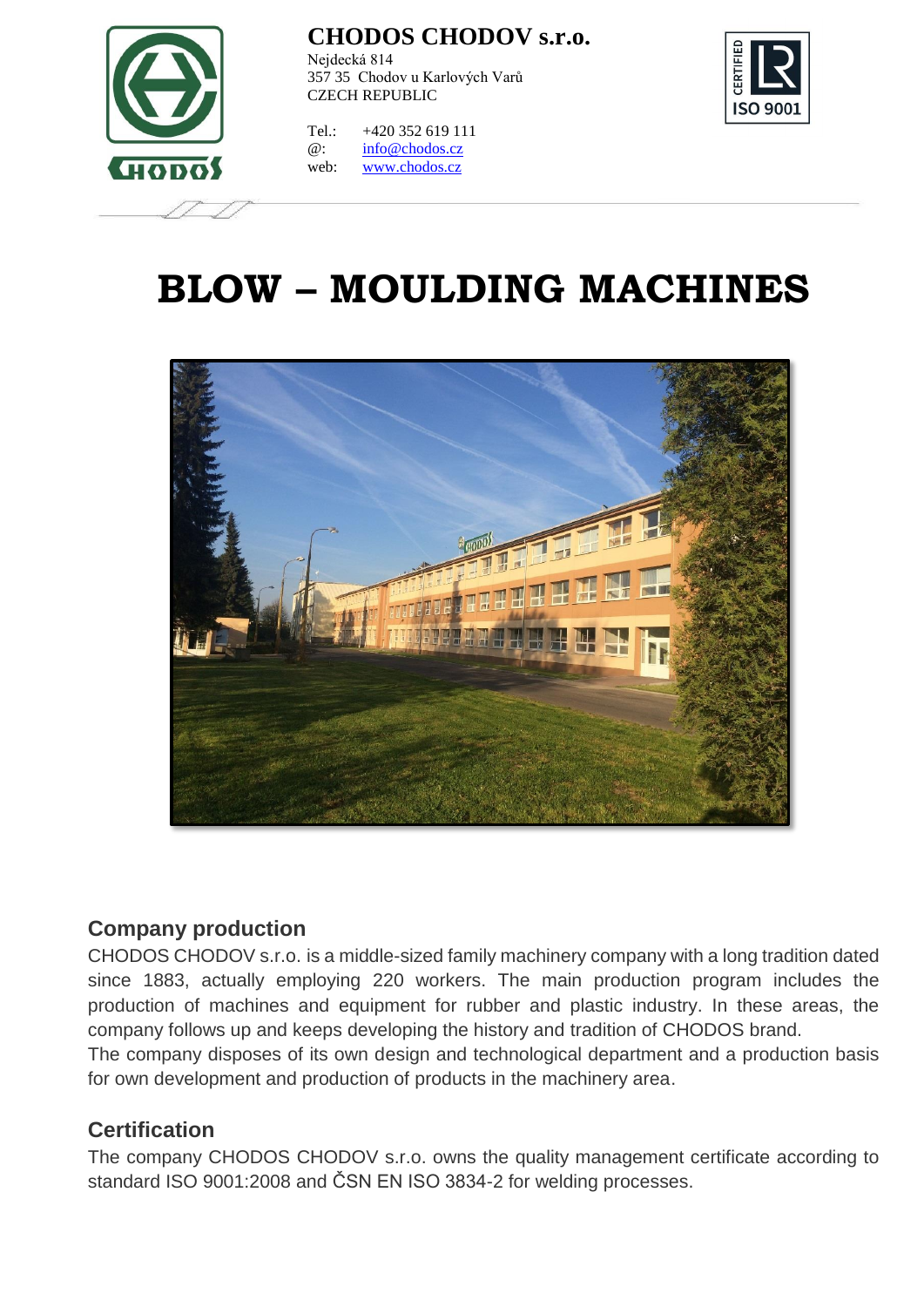

Nejdecká 814 357 35 Chodov u Karlových Varů CZECH REPUBLIC

**ISO 900** 

Tel.: +420 352 619 111 @: [info@chodos.cz](mailto:info@chodos.cz) web: [www.chodos.cz](http://www.chodos.cz/)

# **BLOW – MOULDING MACHINES**



#### **Company production**

CHODOS CHODOV s.r.o. is a middle-sized family machinery company with a long tradition dated since 1883, actually employing 220 workers. The main production program includes the production of machines and equipment for rubber and plastic industry. In these areas, the company follows up and keeps developing the history and tradition of CHODOS brand.

The company disposes of its own design and technological department and a production basis for own development and production of products in the machinery area.

#### **Certification**

The company CHODOS CHODOV s.r.o. owns the quality management certificate according to standard ISO 9001:2008 and ČSN EN ISO 3834-2 for welding processes.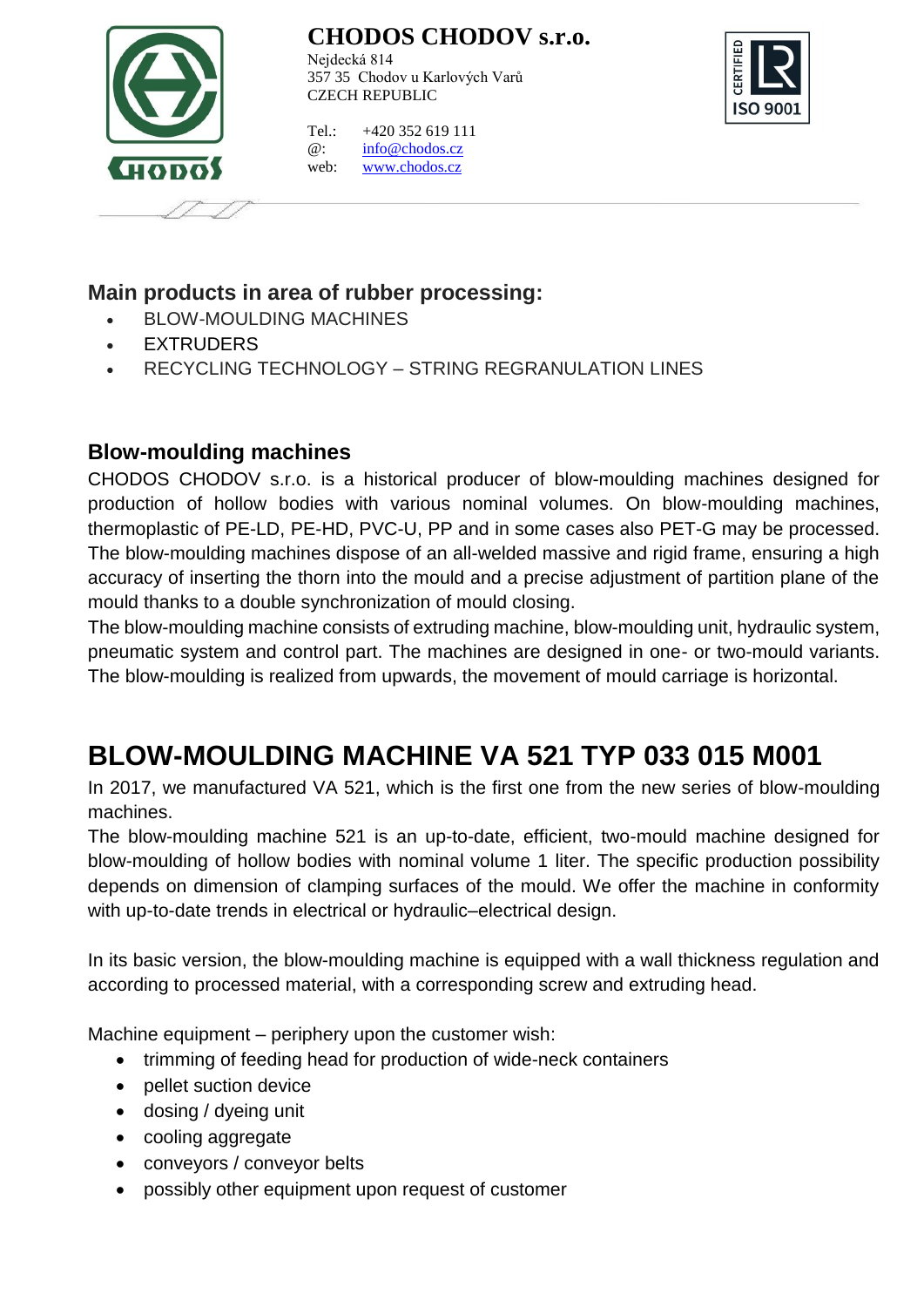

Nejdecká 814 357 35 Chodov u Karlových Varů CZECH REPUBLIC



Tel.: +420 352 619 111 @: [info@chodos.cz](mailto:info@chodos.cz) web: [www.chodos.cz](http://www.chodos.cz/)

#### **Main products in area of rubber processing:**

- BLOW-MOULDING MACHINES
- EXTRUDERS
- RECYCLING TECHNOLOGY STRING REGRANULATION LINES

#### **Blow-moulding machines**

CHODOS CHODOV s.r.o. is a historical producer of blow-moulding machines designed for production of hollow bodies with various nominal volumes. On blow-moulding machines, thermoplastic of PE-LD, PE-HD, PVC-U, PP and in some cases also PET-G may be processed. The blow-moulding machines dispose of an all-welded massive and rigid frame, ensuring a high accuracy of inserting the thorn into the mould and a precise adjustment of partition plane of the mould thanks to a double synchronization of mould closing.

The blow-moulding machine consists of extruding machine, blow-moulding unit, hydraulic system, pneumatic system and control part. The machines are designed in one- or two-mould variants. The blow-moulding is realized from upwards, the movement of mould carriage is horizontal.

## **BLOW-MOULDING MACHINE VA 521 TYP 033 015 M001**

In 2017, we manufactured VA 521, which is the first one from the new series of blow-moulding machines.

The blow-moulding machine 521 is an up-to-date, efficient, two-mould machine designed for blow-moulding of hollow bodies with nominal volume 1 liter. The specific production possibility depends on dimension of clamping surfaces of the mould. We offer the machine in conformity with up-to-date trends in electrical or hydraulic–electrical design.

In its basic version, the blow-moulding machine is equipped with a wall thickness regulation and according to processed material, with a corresponding screw and extruding head.

Machine equipment – periphery upon the customer wish:

- trimming of feeding head for production of wide-neck containers
- pellet suction device
- dosing / dyeing unit
- cooling aggregate
- conveyors / conveyor belts
- possibly other equipment upon request of customer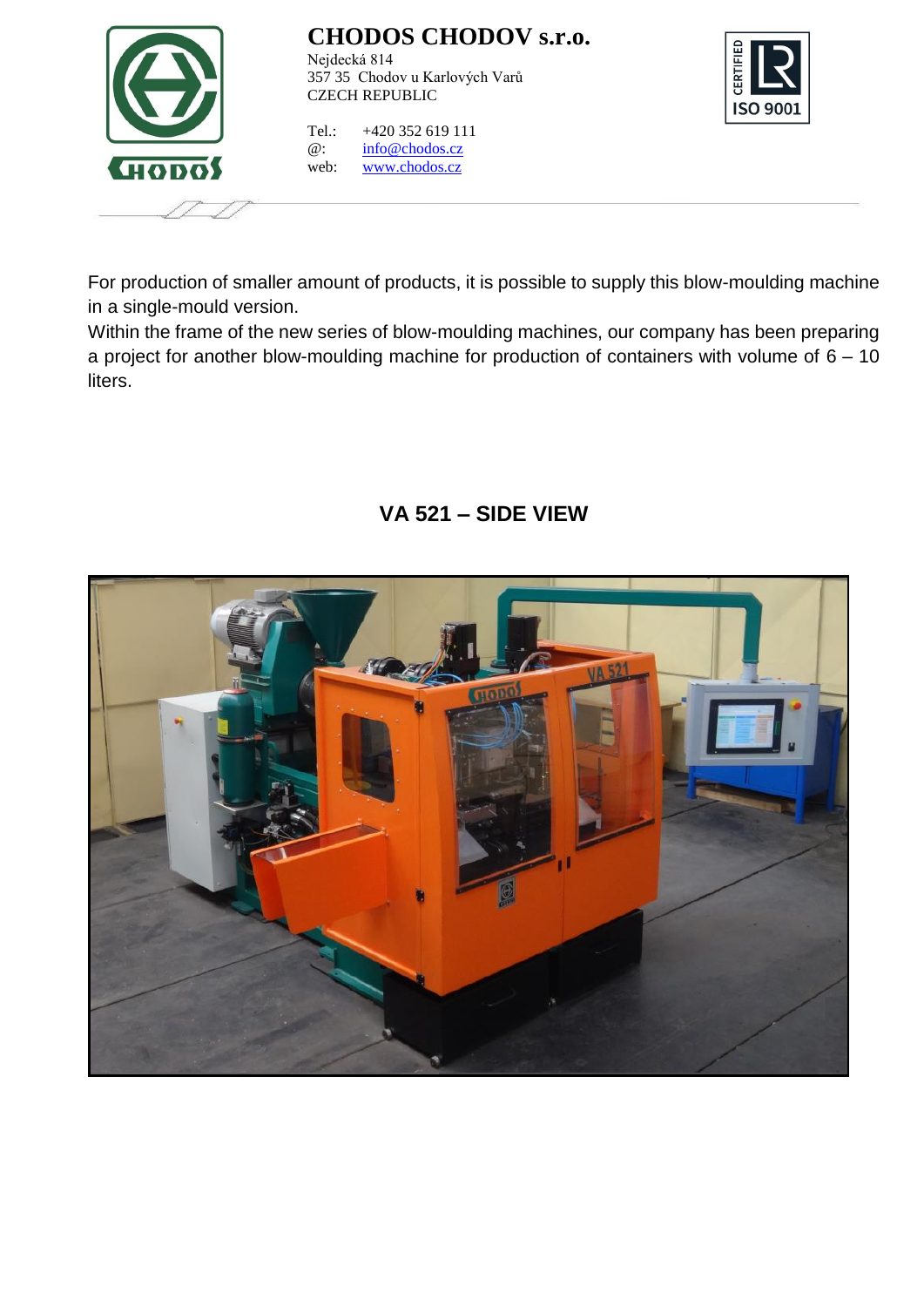

Nejdecká 814 357 35 Chodov u Karlových Varů CZECH REPUBLIC

Tel.: +420 352 619 111 @: [info@chodos.cz](mailto:info@chodos.cz) web: [www.chodos.cz](http://www.chodos.cz/)



For production of smaller amount of products, it is possible to supply this blow-moulding machine in a single-mould version.

Within the frame of the new series of blow-moulding machines, our company has been preparing a project for another blow-moulding machine for production of containers with volume of  $6 - 10$ liters.

#### **VA 521 – SIDE VIEW**

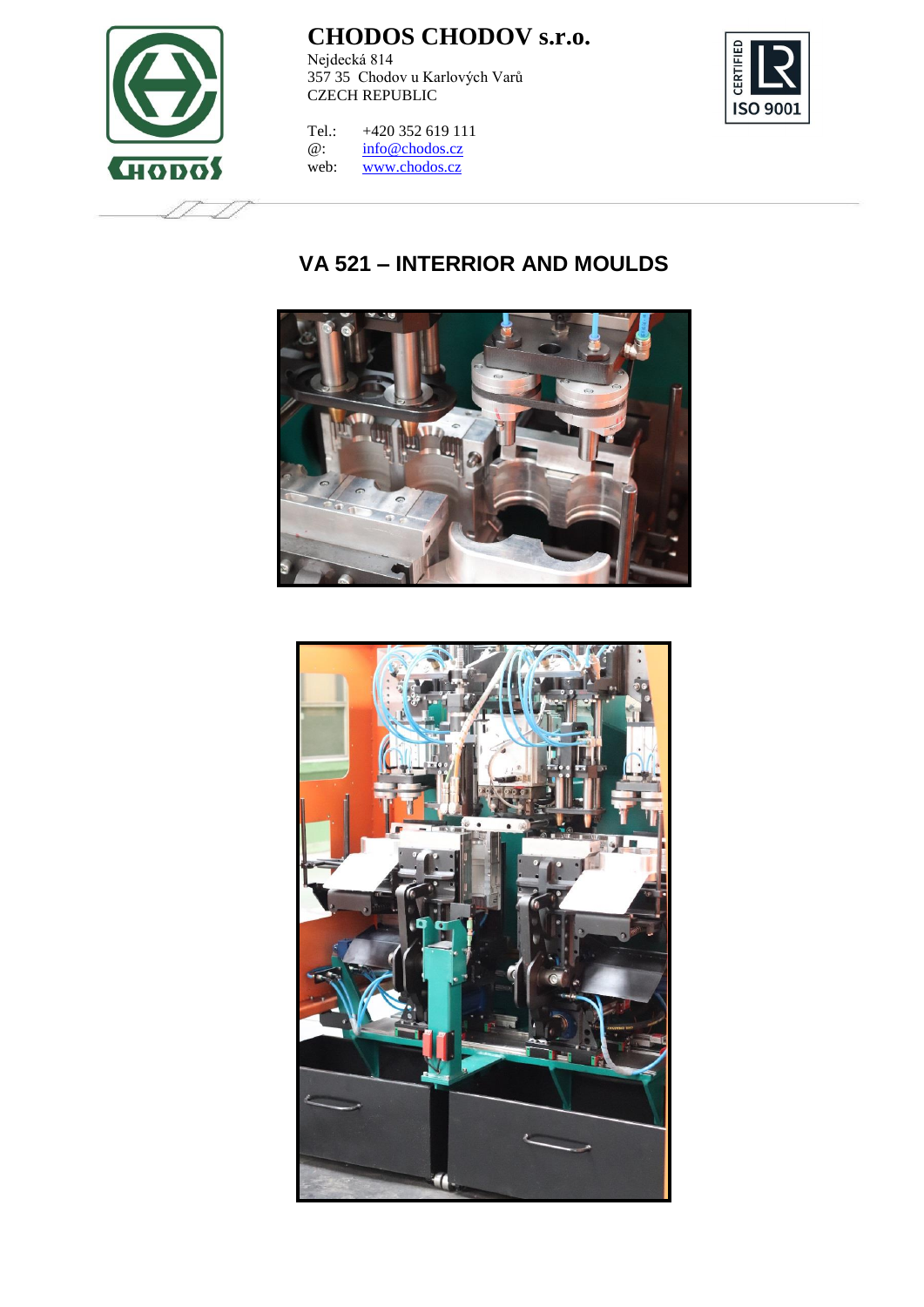

Nejdecká 814 357 35 Chodov u Karlových Varů CZECH REPUBLIC



Tel.:  $+420352619111$ <br>
@:  $\frac{\text{info@chodos.cz}}{}$ [info@chodos.cz](mailto:info@chodos.cz) web: [www.chodos.cz](http://www.chodos.cz/)

#### **VA 521 – INTERRIOR AND MOULDS**



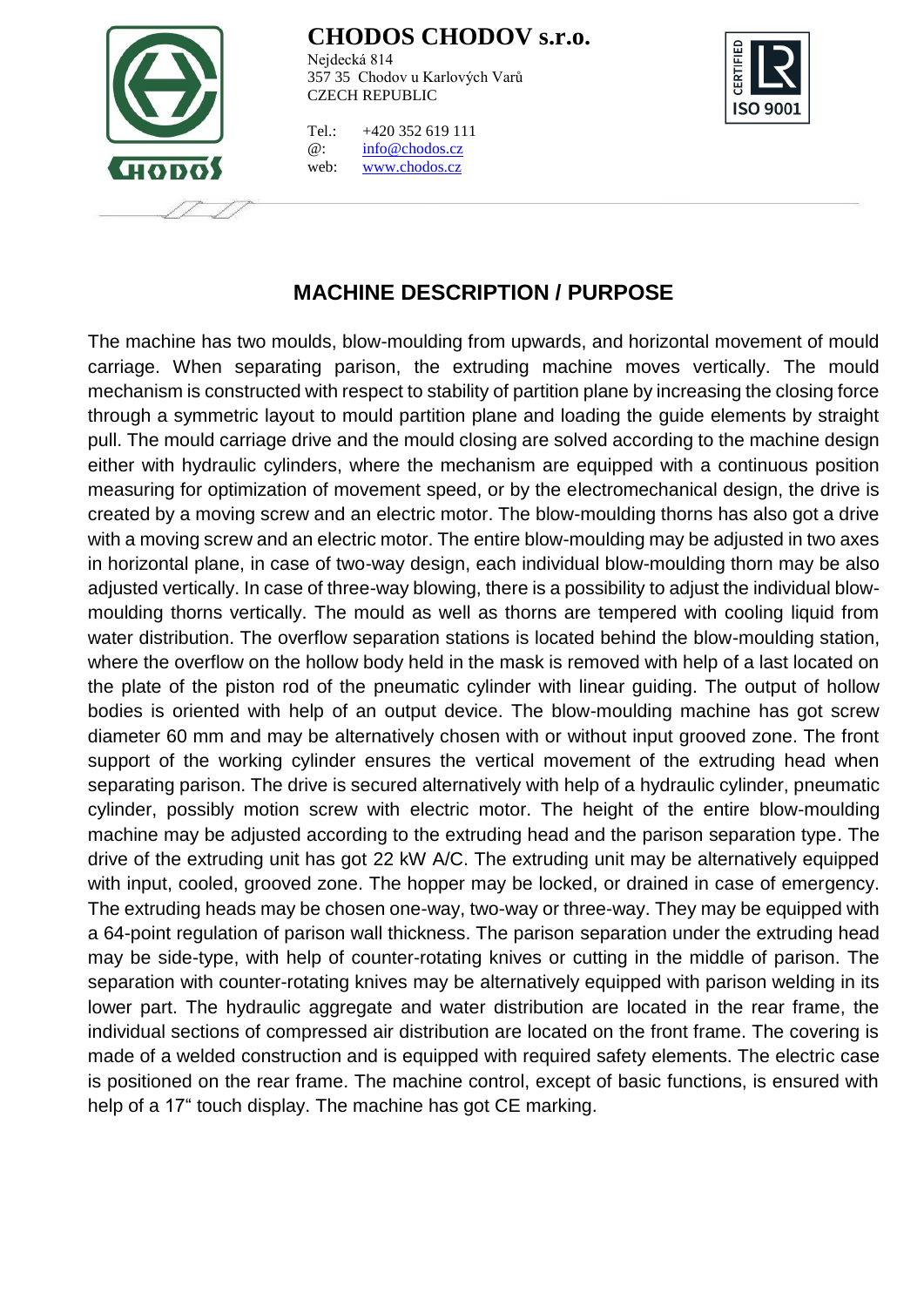

Nejdecká 814 357 35 Chodov u Karlových Varů CZECH REPUBLIC

Tel.: +420 352 619 111 @: [info@chodos.cz](mailto:info@chodos.cz) web: [www.chodos.cz](http://www.chodos.cz/)



#### **MACHINE DESCRIPTION / PURPOSE**

The machine has two moulds, blow-moulding from upwards, and horizontal movement of mould carriage. When separating parison, the extruding machine moves vertically. The mould mechanism is constructed with respect to stability of partition plane by increasing the closing force through a symmetric layout to mould partition plane and loading the guide elements by straight pull. The mould carriage drive and the mould closing are solved according to the machine design either with hydraulic cylinders, where the mechanism are equipped with a continuous position measuring for optimization of movement speed, or by the electromechanical design, the drive is created by a moving screw and an electric motor. The blow-moulding thorns has also got a drive with a moving screw and an electric motor. The entire blow-moulding may be adjusted in two axes in horizontal plane, in case of two-way design, each individual blow-moulding thorn may be also adjusted vertically. In case of three-way blowing, there is a possibility to adjust the individual blowmoulding thorns vertically. The mould as well as thorns are tempered with cooling liquid from water distribution. The overflow separation stations is located behind the blow-moulding station, where the overflow on the hollow body held in the mask is removed with help of a last located on the plate of the piston rod of the pneumatic cylinder with linear guiding. The output of hollow bodies is oriented with help of an output device. The blow-moulding machine has got screw diameter 60 mm and may be alternatively chosen with or without input grooved zone. The front support of the working cylinder ensures the vertical movement of the extruding head when separating parison. The drive is secured alternatively with help of a hydraulic cylinder, pneumatic cylinder, possibly motion screw with electric motor. The height of the entire blow-moulding machine may be adjusted according to the extruding head and the parison separation type. The drive of the extruding unit has got 22 kW A/C. The extruding unit may be alternatively equipped with input, cooled, grooved zone. The hopper may be locked, or drained in case of emergency. The extruding heads may be chosen one-way, two-way or three-way. They may be equipped with a 64-point regulation of parison wall thickness. The parison separation under the extruding head may be side-type, with help of counter-rotating knives or cutting in the middle of parison. The separation with counter-rotating knives may be alternatively equipped with parison welding in its lower part. The hydraulic aggregate and water distribution are located in the rear frame, the individual sections of compressed air distribution are located on the front frame. The covering is made of a welded construction and is equipped with required safety elements. The electric case is positioned on the rear frame. The machine control, except of basic functions, is ensured with help of a 17" touch display. The machine has got CE marking.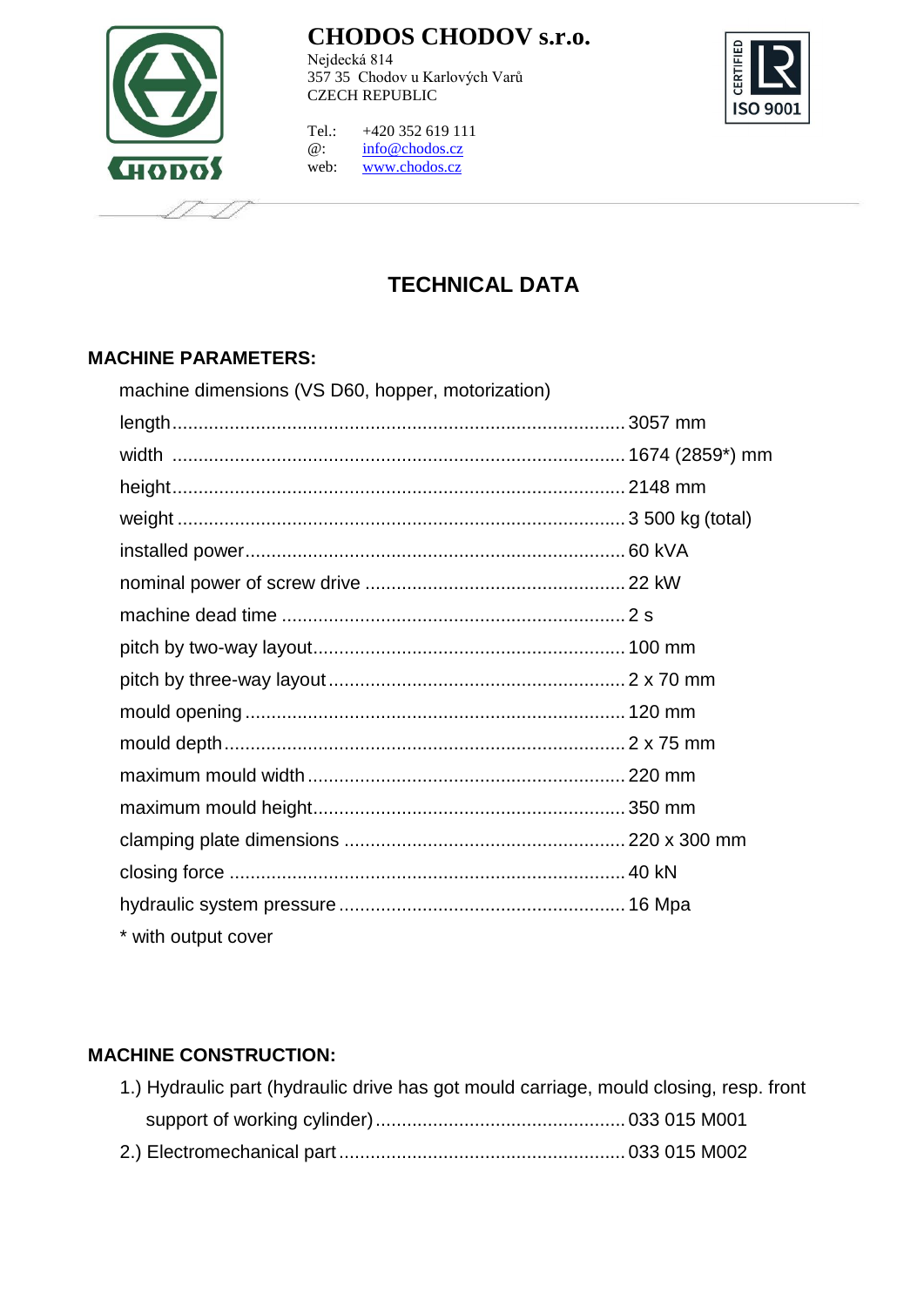

Nejdecká 814 357 35 Chodov u Karlových Varů CZECH REPUBLIC



Tel.: +420 352 619 111 @: [info@chodos.cz](mailto:info@chodos.cz) web: [www.chodos.cz](http://www.chodos.cz/)

### **TECHNICAL DATA**

#### **MACHINE PARAMETERS:**

| machine dimensions (VS D60, hopper, motorization) |  |
|---------------------------------------------------|--|
|                                                   |  |
|                                                   |  |
|                                                   |  |
|                                                   |  |
|                                                   |  |
|                                                   |  |
|                                                   |  |
|                                                   |  |
|                                                   |  |
|                                                   |  |
|                                                   |  |
|                                                   |  |
|                                                   |  |
|                                                   |  |
|                                                   |  |
|                                                   |  |
| * with output cover                               |  |

#### **MACHINE CONSTRUCTION:**

|  | 1.) Hydraulic part (hydraulic drive has got mould carriage, mould closing, resp. front |  |
|--|----------------------------------------------------------------------------------------|--|
|  |                                                                                        |  |
|  |                                                                                        |  |